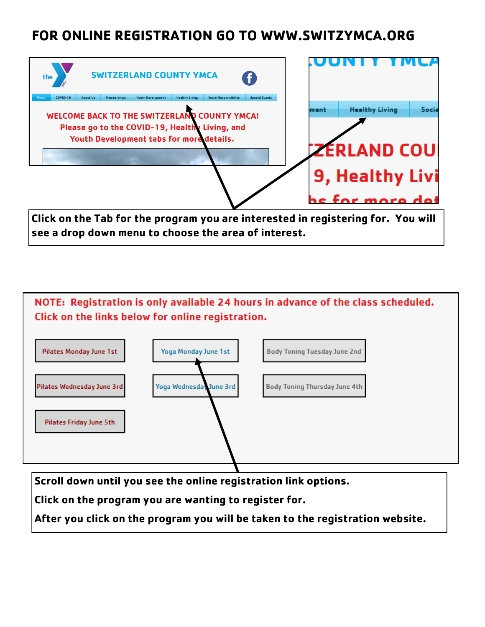# **FOR ONLINE REGISTRATION GO TO WWW.SWITZYMCA.ORG**



**Click on the Tab for the program you are interested in registering for. You will see a drop down menu to choose the area of interest.**



**Scroll down until you see the online registration link options.** 

**Click on the program you are wanting to register for.** 

**After you click on the program you will be taken to the registration website.**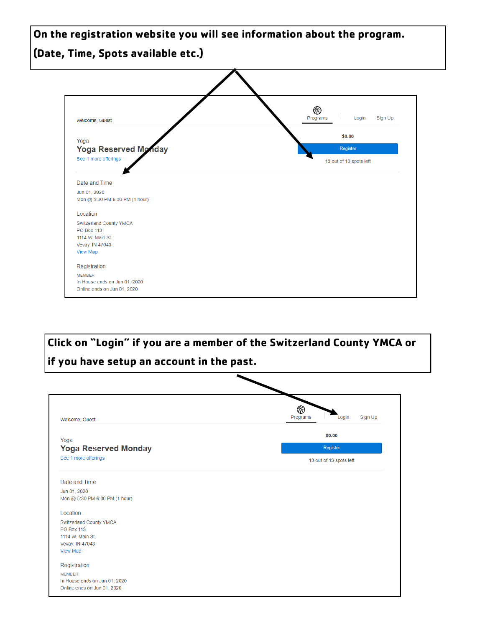**On the registration website you will see information about the program. (Date, Time, Spots available etc.)**



**Click on "Login" if you are a member of the Switzerland County YMCA or if you have setup an account in the past.**

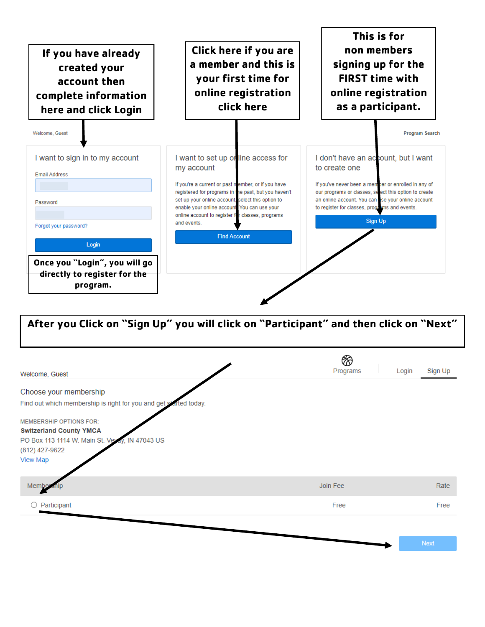

| Welcome, Guest                                                                   | ⊗<br>Programs | Sign Up<br>Login |
|----------------------------------------------------------------------------------|---------------|------------------|
| Choose your membership                                                           |               |                  |
| Find out which membership is right for you and get started today.                |               |                  |
| <b>MEMBERSHIP OPTIONS FOR:</b>                                                   |               |                  |
| <b>Switzerland County YMCA</b><br>PO Box 113 1114 W. Main St. Veyay, IN 47043 US |               |                  |
| (812) 427-9622<br>View Map                                                       |               |                  |
| Membe                                                                            | Join Fee      | Rate             |
| Participant                                                                      | Free          | Free             |
|                                                                                  |               |                  |
|                                                                                  |               | <b>Next</b>      |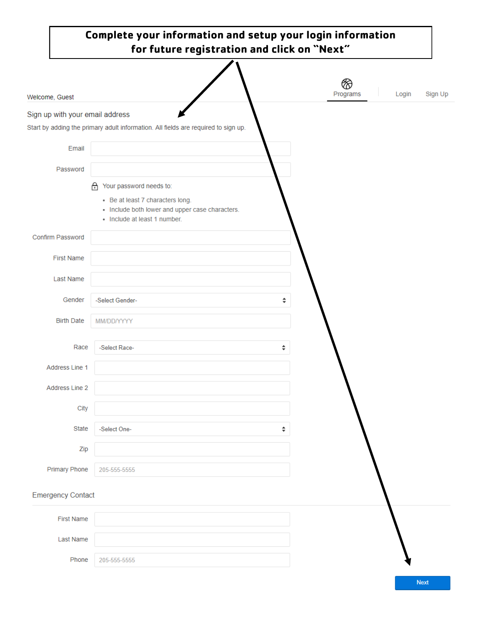| Complete your information and setup your login information<br>for future registration and click on "Next" |                                                                                                                     |   |          |                  |  |
|-----------------------------------------------------------------------------------------------------------|---------------------------------------------------------------------------------------------------------------------|---|----------|------------------|--|
| Welcome, Guest                                                                                            |                                                                                                                     |   | Programs | Login<br>Sign Up |  |
| Sign up with your email address                                                                           | Start by adding the primary adult information. All fields are required to sign up.                                  |   |          |                  |  |
| Email                                                                                                     |                                                                                                                     |   |          |                  |  |
| Password                                                                                                  |                                                                                                                     |   |          |                  |  |
|                                                                                                           | Your password needs to:<br>₩                                                                                        |   |          |                  |  |
|                                                                                                           | • Be at least 7 characters long.<br>• Include both lower and upper case characters.<br>• Include at least 1 number. |   |          |                  |  |
| Confirm Password                                                                                          |                                                                                                                     |   |          |                  |  |
| <b>First Name</b>                                                                                         |                                                                                                                     |   |          |                  |  |
| <b>Last Name</b>                                                                                          |                                                                                                                     |   |          |                  |  |
| Gender                                                                                                    | -Select Gender-                                                                                                     | ÷ |          |                  |  |
| <b>Birth Date</b>                                                                                         | MM/DD/YYYY                                                                                                          |   |          |                  |  |
| Race                                                                                                      | -Select Race-                                                                                                       | ÷ |          |                  |  |
| <b>Address Line 1</b>                                                                                     |                                                                                                                     |   |          |                  |  |
| Address Line 2                                                                                            |                                                                                                                     |   |          |                  |  |
| City                                                                                                      |                                                                                                                     |   |          |                  |  |
| State                                                                                                     | -Select One-                                                                                                        | ÷ |          |                  |  |
| Zip                                                                                                       |                                                                                                                     |   |          |                  |  |
| <b>Primary Phone</b>                                                                                      | 205-555-5555                                                                                                        |   |          |                  |  |
| <b>Emergency Contact</b>                                                                                  |                                                                                                                     |   |          |                  |  |
| <b>First Name</b>                                                                                         |                                                                                                                     |   |          |                  |  |

| Last Name |                    |
|-----------|--------------------|
|           | Phone 205-555-5555 |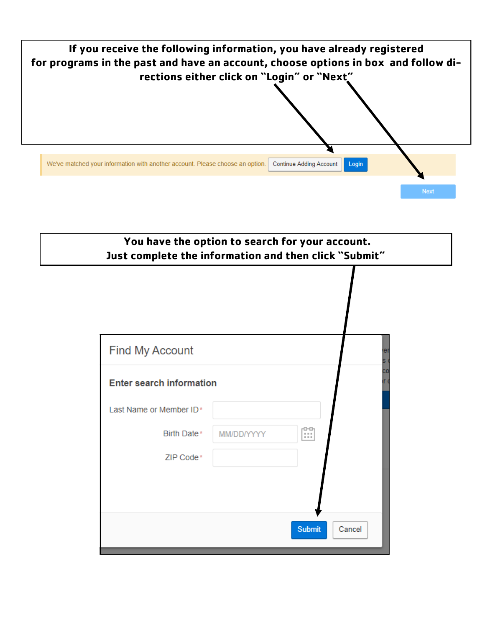

# **You have the option to search for your account. Just complete the information and then click "Submit"**

| <b>Find My Account</b>          |            | er<br>s.                |
|---------------------------------|------------|-------------------------|
| <b>Enter search information</b> |            | ĊО<br>r.                |
| Last Name or Member ID*         |            |                         |
| Birth Date*                     | MM/DD/YYYY | 00<br>!!!               |
| ZIP Code*                       |            |                         |
|                                 |            |                         |
|                                 |            |                         |
|                                 |            | <b>Submit</b><br>Cancel |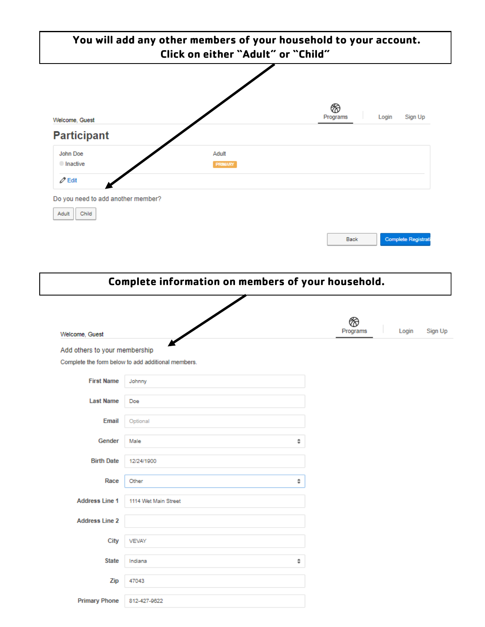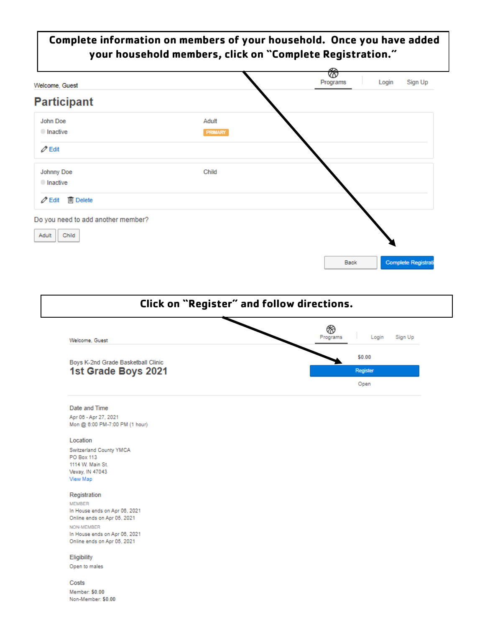## Complete information on members of your household. Once you have added your household members, click on "Complete Registration."





### Date and Time

Apr 06 - Apr 27, 2021 Mon @ 6:00 PM-7:00 PM (1 hour)

### Location

Switzerland County YMCA PO Box 113 1114 W. Main St. Vevay, IN 47043 View Map

#### Registration

**MEMBER** In House ends on Apr 06, 2021 Online ends on Apr 05, 2021 NON-MEMBER In House ends on Apr 06, 2021 Online ends on Apr 05, 2021

Eligibility

Open to males

Costs Member: \$0.00 Non-Member: \$0.00